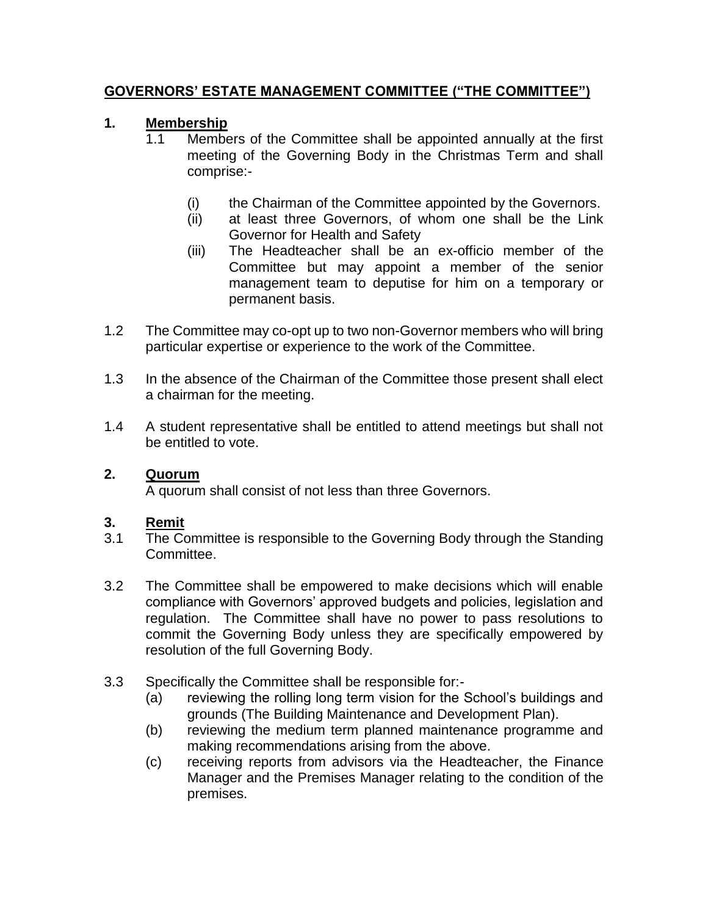## **GOVERNORS' ESTATE MANAGEMENT COMMITTEE ("THE COMMITTEE")**

## **1. Membership**

- 1.1 Members of the Committee shall be appointed annually at the first meeting of the Governing Body in the Christmas Term and shall comprise:-
	- (i) the Chairman of the Committee appointed by the Governors.
	- (ii) at least three Governors, of whom one shall be the Link Governor for Health and Safety
	- (iii) The Headteacher shall be an ex-officio member of the Committee but may appoint a member of the senior management team to deputise for him on a temporary or permanent basis.
- 1.2 The Committee may co-opt up to two non-Governor members who will bring particular expertise or experience to the work of the Committee.
- 1.3 In the absence of the Chairman of the Committee those present shall elect a chairman for the meeting.
- 1.4 A student representative shall be entitled to attend meetings but shall not be entitled to vote.

#### **2. Quorum**

A quorum shall consist of not less than three Governors.

#### **3. Remit**

- 3.1 The Committee is responsible to the Governing Body through the Standing Committee.
- 3.2 The Committee shall be empowered to make decisions which will enable compliance with Governors' approved budgets and policies, legislation and regulation. The Committee shall have no power to pass resolutions to commit the Governing Body unless they are specifically empowered by resolution of the full Governing Body.
- 3.3 Specifically the Committee shall be responsible for:-
	- (a) reviewing the rolling long term vision for the School's buildings and grounds (The Building Maintenance and Development Plan).
	- (b) reviewing the medium term planned maintenance programme and making recommendations arising from the above.
	- (c) receiving reports from advisors via the Headteacher, the Finance Manager and the Premises Manager relating to the condition of the premises.